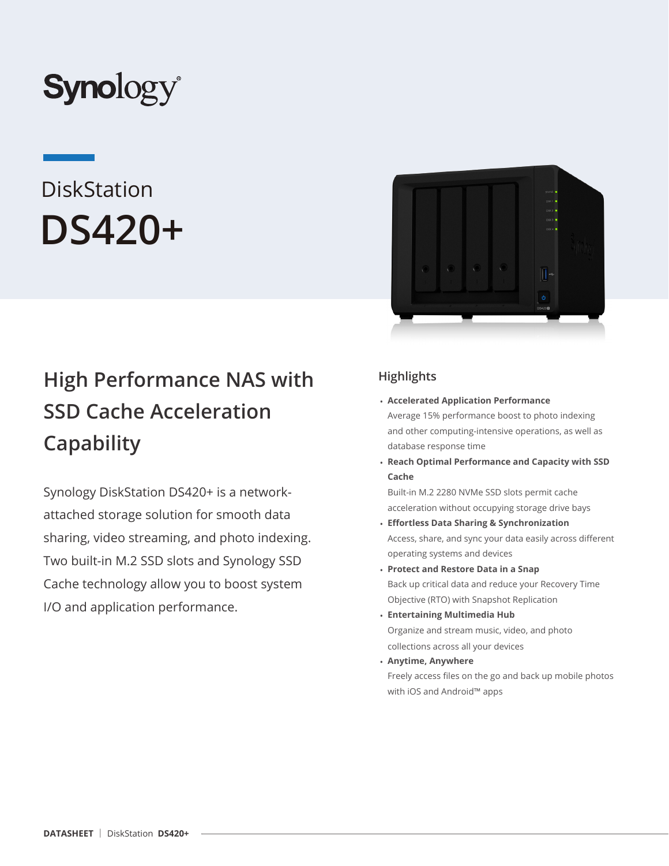

# **DiskStation DS420+**

# **High Performance NAS with SSD Cache Acceleration Capability**

Synology DiskStation DS420+ is a networkattached storage solution for smooth data sharing, video streaming, and photo indexing. Two built-in M.2 SSD slots and Synology SSD Cache technology allow you to boost system I/O and application performance.



# **Highlights**

- **Accelerated Application Performance** Average 15% performance boost to photo indexing and other computing-intensive operations, as well as database response time
- **Reach Optimal Performance and Capacity with SSD Cache**

Built-in M.2 2280 NVMe SSD slots permit cache acceleration without occupying storage drive bays

- **Effortless Data Sharing & Synchronization** Access, share, and sync your data easily across different operating systems and devices
- **Protect and Restore Data in a Snap**  Back up critical data and reduce your Recovery Time Objective (RTO) with Snapshot Replication
- **Entertaining Multimedia Hub** Organize and stream music, video, and photo collections across all your devices
- **Anytime, Anywhere** Freely access files on the go and back up mobile photos with iOS and Android™ apps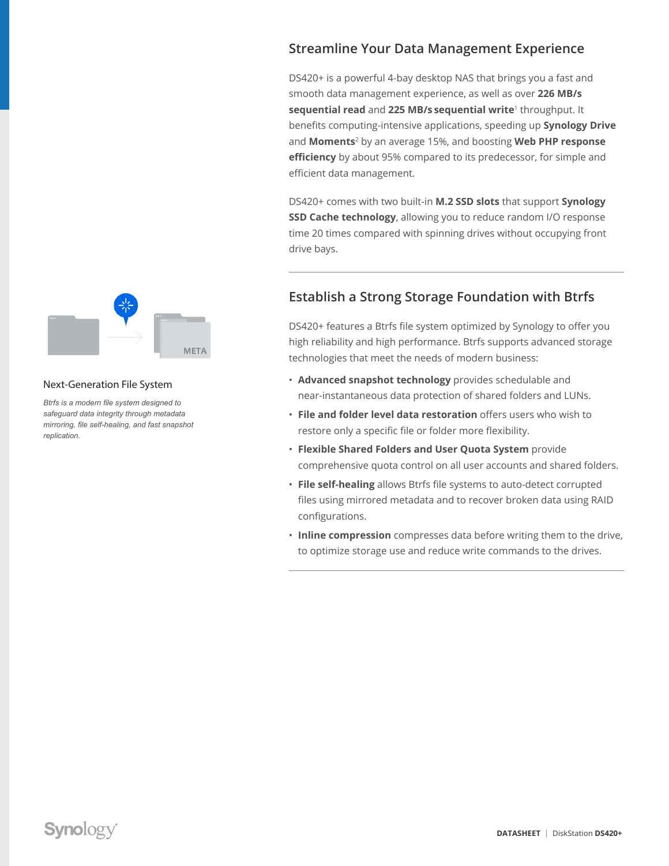## **Streamline Your Data Management Experience**

DS420+ is a powerful 4-bay desktop NAS that brings you a fast and smooth data management experience, as well as over **226 MB/s sequential read** and **225 MB/s sequential write**1 throughput. It benefits computing-intensive applications, speeding up **Synology Drive** and **Moments**2 by an average 15%, and boosting **Web PHP response efficiency** by about 95% compared to its predecessor, for simple and efficient data management.

DS420+ comes with two built-in **M.2 SSD slots** that support **Synology SSD Cache technology**, allowing you to reduce random I/O response time 20 times compared with spinning drives without occupying front drive bays.

# **Establish a Strong Storage Foundation with Btrfs**

DS420+ features a Btrfs file system optimized by Synology to offer you high reliability and high performance. Btrfs supports advanced storage technologies that meet the needs of modern business:

- **Advanced snapshot technology** provides schedulable and near-instantaneous data protection of shared folders and LUNs.
- **File and folder level data restoration** offers users who wish to restore only a specific file or folder more flexibility.
- **Flexible Shared Folders and User Quota System** provide comprehensive quota control on all user accounts and shared folders.
- **File self-healing** allows Btrfs file systems to auto-detect corrupted files using mirrored metadata and to recover broken data using RAID configurations.
- **Inline compression** compresses data before writing them to the drive, to optimize storage use and reduce write commands to the drives.



#### Next-Generation File System

*Btrfs is a modern file system designed to safeguard data integrity through metadata mirroring, file self-healing, and fast snapshot replication.*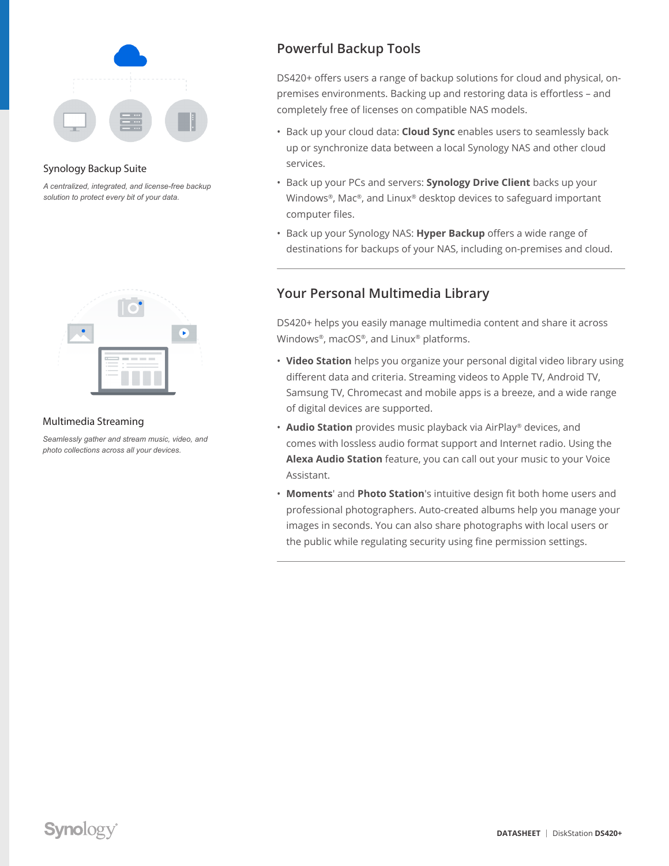

#### Synology Backup Suite

*A centralized, integrated, and license-free backup solution to protect every bit of your data.*



#### Multimedia Streaming

*Seamlessly gather and stream music, video, and photo collections across all your devices.*

# **Powerful Backup Tools**

DS420+ offers users a range of backup solutions for cloud and physical, onpremises environments. Backing up and restoring data is effortless – and completely free of licenses on compatible NAS models.

- Back up your cloud data: **Cloud Sync** enables users to seamlessly back up or synchronize data between a local Synology NAS and other cloud services.
- Back up your PCs and servers: **Synology Drive Client** backs up your Windows®, Mac®, and Linux® desktop devices to safeguard important computer files.
- Back up your Synology NAS: **Hyper Backup** offers a wide range of destinations for backups of your NAS, including on-premises and cloud.

# **Your Personal Multimedia Library**

DS420+ helps you easily manage multimedia content and share it across Windows®, macOS®, and Linux® platforms.

- **Video Station** helps you organize your personal digital video library using different data and criteria. Streaming videos to Apple TV, Android TV, Samsung TV, Chromecast and mobile apps is a breeze, and a wide range of digital devices are supported.
- **Audio Station** provides music playback via AirPlay® devices, and comes with lossless audio format support and Internet radio. Using the **Alexa Audio Station** feature, you can call out your music to your Voice Assistant.
- **Moments**' and **Photo Station**'s intuitive design fit both home users and professional photographers. Auto-created albums help you manage your images in seconds. You can also share photographs with local users or the public while regulating security using fine permission settings.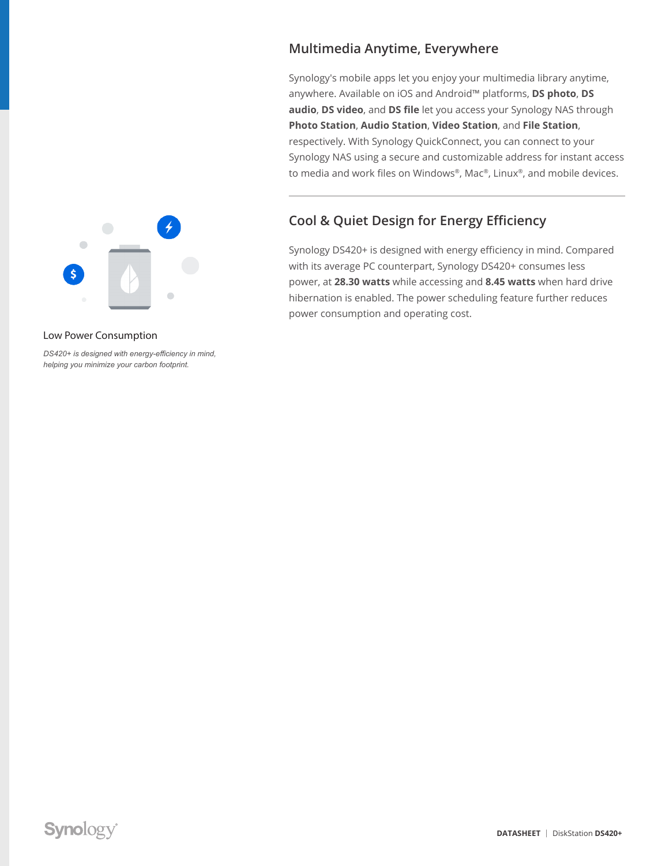# $\Box$  $\overline{\mathsf{s}}$

#### Low Power Consumption

*DS420+ is designed with energy-efficiency in mind, helping you minimize your carbon footprint.*

# **Multimedia Anytime, Everywhere**

Synology's mobile apps let you enjoy your multimedia library anytime, anywhere. Available on iOS and Android™ platforms, **DS photo**, **DS audio**, **DS video**, and **DS file** let you access your Synology NAS through **Photo Station**, **Audio Station**, **Video Station**, and **File Station**, respectively. With Synology QuickConnect, you can connect to your Synology NAS using a secure and customizable address for instant access to media and work files on Windows®, Mac®, Linux®, and mobile devices.

# **Cool & Quiet Design for Energy Efficiency**

Synology DS420+ is designed with energy efficiency in mind. Compared with its average PC counterpart, Synology DS420+ consumes less power, at **28.30 watts** while accessing and **8.45 watts** when hard drive hibernation is enabled. The power scheduling feature further reduces power consumption and operating cost.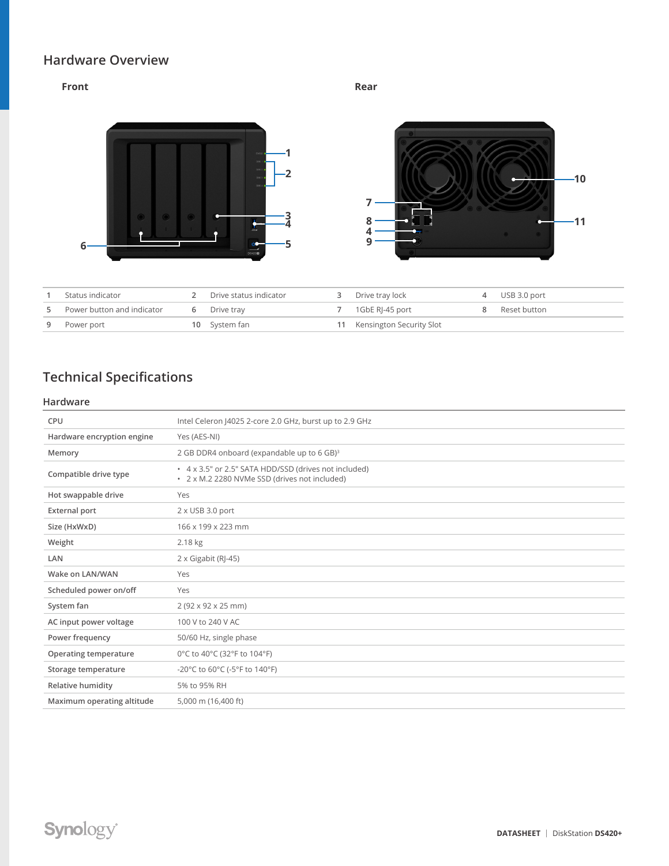## **Hardware Overview**

#### **Front Rear**



| Status indicator           | Drive status indicator | Drive tray lock             | USB 3.0 port   |
|----------------------------|------------------------|-----------------------------|----------------|
| Power button and indicator | 6 Drive trav           | 1GbE RI-45 port             | 8 Reset button |
| 9 Power port               | 10 System fan          | 11 Kensington Security Slot |                |

# **Technical Specifications**

#### **Hardware**

| <b>CPU</b>                 | Intel Celeron J4025 2-core 2.0 GHz, burst up to 2.9 GHz                                                |
|----------------------------|--------------------------------------------------------------------------------------------------------|
| Hardware encryption engine | Yes (AES-NI)                                                                                           |
| Memory                     | 2 GB DDR4 onboard (expandable up to 6 GB) <sup>3</sup>                                                 |
| Compatible drive type      | • 4 x 3.5" or 2.5" SATA HDD/SSD (drives not included)<br>• 2 x M.2 2280 NVMe SSD (drives not included) |
| Hot swappable drive        | Yes                                                                                                    |
| <b>External port</b>       | $2 \times$ USB 3.0 port                                                                                |
| Size (HxWxD)               | 166 x 199 x 223 mm                                                                                     |
| Weight                     | 2.18 kg                                                                                                |
| LAN                        | 2 x Gigabit (RJ-45)                                                                                    |
| Wake on LAN/WAN            | Yes                                                                                                    |
| Scheduled power on/off     | Yes                                                                                                    |
| System fan                 | $2(92 \times 92 \times 25 \text{ mm})$                                                                 |
| AC input power voltage     | 100 V to 240 V AC                                                                                      |
| Power frequency            | 50/60 Hz, single phase                                                                                 |
| Operating temperature      | 0°C to 40°C (32°F to 104°F)                                                                            |
| Storage temperature        | -20°C to 60°C (-5°F to 140°F)                                                                          |
| Relative humidity          | 5% to 95% RH                                                                                           |
| Maximum operating altitude | 5,000 m (16,400 ft)                                                                                    |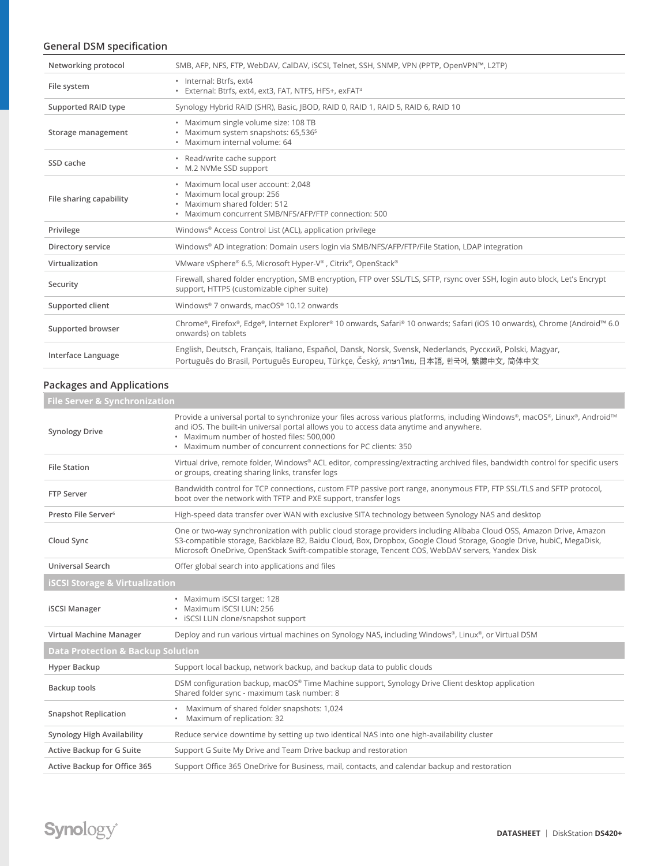### **General DSM specification**

| Networking protocol     | SMB, AFP, NFS, FTP, WebDAV, CalDAV, iSCSI, Telnet, SSH, SNMP, VPN (PPTP, OpenVPN™, L2TP)                                                                                                          |
|-------------------------|---------------------------------------------------------------------------------------------------------------------------------------------------------------------------------------------------|
| File system             | · Internal: Btrfs, ext4<br>· External: Btrfs, ext4, ext3, FAT, NTFS, HFS+, exFAT <sup>4</sup>                                                                                                     |
| Supported RAID type     | Synology Hybrid RAID (SHR), Basic, JBOD, RAID 0, RAID 1, RAID 5, RAID 6, RAID 10                                                                                                                  |
| Storage management      | · Maximum single volume size: 108 TB<br>• Maximum system snapshots: 65,536 <sup>5</sup><br>· Maximum internal volume: 64                                                                          |
| SSD cache               | • Read/write cache support<br>• M.2 NVMe SSD support                                                                                                                                              |
| File sharing capability | · Maximum local user account: 2,048<br>• Maximum local group: 256<br>· Maximum shared folder: 512<br>• Maximum concurrent SMB/NFS/AFP/FTP connection: 500                                         |
| Privilege               | Windows® Access Control List (ACL), application privilege                                                                                                                                         |
| Directory service       | Windows® AD integration: Domain users login via SMB/NFS/AFP/FTP/File Station, LDAP integration                                                                                                    |
| Virtualization          | VMware vSphere® 6.5, Microsoft Hyper-V®, Citrix®, OpenStack®                                                                                                                                      |
| Security                | Firewall, shared folder encryption, SMB encryption, FTP over SSL/TLS, SFTP, rsync over SSH, login auto block, Let's Encrypt<br>support, HTTPS (customizable cipher suite)                         |
| Supported client        | Windows® 7 onwards, macOS® 10.12 onwards                                                                                                                                                          |
| Supported browser       | Chrome®, Firefox®, Edge®, Internet Explorer® 10 onwards, Safari® 10 onwards; Safari (iOS 10 onwards), Chrome (Android™ 6.0<br>onwards) on tablets                                                 |
| Interface Language      | English, Deutsch, Français, Italiano, Español, Dansk, Norsk, Svensk, Nederlands, Русский, Polski, Magyar,<br>Português do Brasil, Português Europeu, Türkçe, Český, ภาษาไทย, 日本語, 한국어, 繁體中文, 简体中文 |

### **Packages and Applications**

| <b>File Server &amp; Synchronization</b>     |                                                                                                                                                                                                                                                                                                                                                  |  |  |
|----------------------------------------------|--------------------------------------------------------------------------------------------------------------------------------------------------------------------------------------------------------------------------------------------------------------------------------------------------------------------------------------------------|--|--|
| <b>Synology Drive</b>                        | Provide a universal portal to synchronize your files across various platforms, including Windows®, macOS®, Linux®, Android™<br>and iOS. The built-in universal portal allows you to access data anytime and anywhere.<br>• Maximum number of hosted files: 500,000<br>• Maximum number of concurrent connections for PC clients: 350             |  |  |
| <b>File Station</b>                          | Virtual drive, remote folder, Windows® ACL editor, compressing/extracting archived files, bandwidth control for specific users<br>or groups, creating sharing links, transfer logs                                                                                                                                                               |  |  |
| FTP Server                                   | Bandwidth control for TCP connections, custom FTP passive port range, anonymous FTP, FTP SSL/TLS and SFTP protocol,<br>boot over the network with TFTP and PXE support, transfer logs                                                                                                                                                            |  |  |
| Presto File Server <sup>6</sup>              | High-speed data transfer over WAN with exclusive SITA technology between Synology NAS and desktop                                                                                                                                                                                                                                                |  |  |
| Cloud Sync                                   | One or two-way synchronization with public cloud storage providers including Alibaba Cloud OSS, Amazon Drive, Amazon<br>S3-compatible storage, Backblaze B2, Baidu Cloud, Box, Dropbox, Google Cloud Storage, Google Drive, hubiC, MegaDisk,<br>Microsoft OneDrive, OpenStack Swift-compatible storage, Tencent COS, WebDAV servers, Yandex Disk |  |  |
| <b>Universal Search</b>                      | Offer global search into applications and files                                                                                                                                                                                                                                                                                                  |  |  |
| <b>iSCSI Storage &amp; Virtualization</b>    |                                                                                                                                                                                                                                                                                                                                                  |  |  |
| <b>iSCSI Manager</b>                         | • Maximum iSCSI target: 128<br>· Maximum iSCSI LUN: 256<br>· iSCSI LUN clone/snapshot support                                                                                                                                                                                                                                                    |  |  |
| Virtual Machine Manager                      | Deploy and run various virtual machines on Synology NAS, including Windows®, Linux®, or Virtual DSM                                                                                                                                                                                                                                              |  |  |
| <b>Data Protection &amp; Backup Solution</b> |                                                                                                                                                                                                                                                                                                                                                  |  |  |
| Hyper Backup                                 | Support local backup, network backup, and backup data to public clouds                                                                                                                                                                                                                                                                           |  |  |
| Backup tools                                 | DSM configuration backup, macOS® Time Machine support, Synology Drive Client desktop application<br>Shared folder sync - maximum task number: 8                                                                                                                                                                                                  |  |  |
| <b>Snapshot Replication</b>                  | • Maximum of shared folder snapshots: 1,024<br>• Maximum of replication: 32                                                                                                                                                                                                                                                                      |  |  |
| Synology High Availability                   | Reduce service downtime by setting up two identical NAS into one high-availability cluster                                                                                                                                                                                                                                                       |  |  |
| Active Backup for G Suite                    | Support G Suite My Drive and Team Drive backup and restoration                                                                                                                                                                                                                                                                                   |  |  |
| Active Backup for Office 365                 | Support Office 365 OneDrive for Business, mail, contacts, and calendar backup and restoration                                                                                                                                                                                                                                                    |  |  |
|                                              |                                                                                                                                                                                                                                                                                                                                                  |  |  |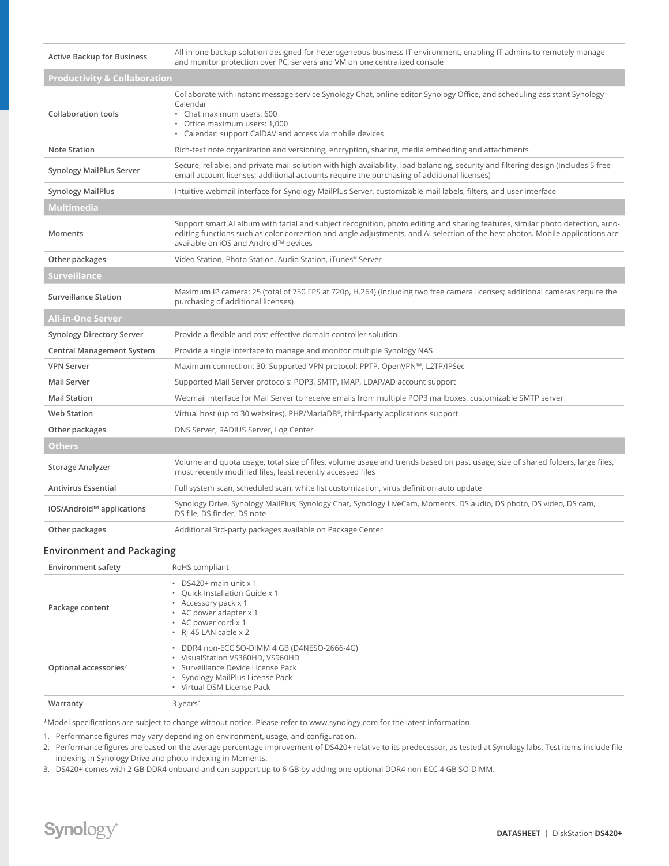| <b>Active Backup for Business</b>       | All-in-one backup solution designed for heterogeneous business IT environment, enabling IT admins to remotely manage<br>and monitor protection over PC, servers and VM on one centralized console                                                                                                         |  |  |  |  |
|-----------------------------------------|-----------------------------------------------------------------------------------------------------------------------------------------------------------------------------------------------------------------------------------------------------------------------------------------------------------|--|--|--|--|
| <b>Productivity &amp; Collaboration</b> |                                                                                                                                                                                                                                                                                                           |  |  |  |  |
| <b>Collaboration tools</b>              | Collaborate with instant message service Synology Chat, online editor Synology Office, and scheduling assistant Synology<br>Calendar<br>• Chat maximum users: 600<br>· Office maximum users: 1,000<br>• Calendar: support CalDAV and access via mobile devices                                            |  |  |  |  |
| <b>Note Station</b>                     | Rich-text note organization and versioning, encryption, sharing, media embedding and attachments                                                                                                                                                                                                          |  |  |  |  |
| <b>Synology MailPlus Server</b>         | Secure, reliable, and private mail solution with high-availability, load balancing, security and filtering design (Includes 5 free<br>email account licenses; additional accounts require the purchasing of additional licenses)                                                                          |  |  |  |  |
| <b>Synology MailPlus</b>                | Intuitive webmail interface for Synology MailPlus Server, customizable mail labels, filters, and user interface                                                                                                                                                                                           |  |  |  |  |
| <b>Multimedia</b>                       |                                                                                                                                                                                                                                                                                                           |  |  |  |  |
| Moments                                 | Support smart AI album with facial and subject recognition, photo editing and sharing features, similar photo detection, auto-<br>editing functions such as color correction and angle adjustments, and AI selection of the best photos. Mobile applications are<br>available on iOS and Android™ devices |  |  |  |  |
| Other packages                          | Video Station, Photo Station, Audio Station, iTunes® Server                                                                                                                                                                                                                                               |  |  |  |  |
| <b>Surveillance</b>                     |                                                                                                                                                                                                                                                                                                           |  |  |  |  |
| <b>Surveillance Station</b>             | Maximum IP camera: 25 (total of 750 FPS at 720p, H.264) (Including two free camera licenses; additional cameras require the<br>purchasing of additional licenses)                                                                                                                                         |  |  |  |  |
| <b>All-in-One Server</b>                |                                                                                                                                                                                                                                                                                                           |  |  |  |  |
| <b>Synology Directory Server</b>        | Provide a flexible and cost-effective domain controller solution                                                                                                                                                                                                                                          |  |  |  |  |
| <b>Central Management System</b>        | Provide a single interface to manage and monitor multiple Synology NAS                                                                                                                                                                                                                                    |  |  |  |  |
| <b>VPN Server</b>                       | Maximum connection: 30. Supported VPN protocol: PPTP, OpenVPN™, L2TP/IPSec                                                                                                                                                                                                                                |  |  |  |  |
| <b>Mail Server</b>                      | Supported Mail Server protocols: POP3, SMTP, IMAP, LDAP/AD account support                                                                                                                                                                                                                                |  |  |  |  |
| <b>Mail Station</b>                     | Webmail interface for Mail Server to receive emails from multiple POP3 mailboxes, customizable SMTP server                                                                                                                                                                                                |  |  |  |  |
| <b>Web Station</b>                      | Virtual host (up to 30 websites), PHP/MariaDB®, third-party applications support                                                                                                                                                                                                                          |  |  |  |  |
| Other packages                          | DNS Server, RADIUS Server, Log Center                                                                                                                                                                                                                                                                     |  |  |  |  |
| <b>Others</b>                           |                                                                                                                                                                                                                                                                                                           |  |  |  |  |
| Storage Analyzer                        | Volume and quota usage, total size of files, volume usage and trends based on past usage, size of shared folders, large files,<br>most recently modified files, least recently accessed files                                                                                                             |  |  |  |  |
| <b>Antivirus Essential</b>              | Full system scan, scheduled scan, white list customization, virus definition auto update                                                                                                                                                                                                                  |  |  |  |  |
| iOS/Android™ applications               | Synology Drive, Synology MailPlus, Synology Chat, Synology LiveCam, Moments, DS audio, DS photo, DS video, DS cam,<br>DS file, DS finder, DS note                                                                                                                                                         |  |  |  |  |
| Other packages                          | Additional 3rd-party packages available on Package Center                                                                                                                                                                                                                                                 |  |  |  |  |

#### **Environment and Packaging**

| <b>Environment safety</b>         | RoHS compliant                                                                                                                                                                           |
|-----------------------------------|------------------------------------------------------------------------------------------------------------------------------------------------------------------------------------------|
| Package content                   | $\cdot$ DS420+ main unit x 1<br>• Quick Installation Guide x 1<br>• Accessory pack x 1<br>• AC power adapter x 1<br>• AC power cord x 1<br>• RI-45 LAN cable x 2                         |
| Optional accessories <sup>7</sup> | • DDR4 non-ECC SO-DIMM 4 GB (D4NESO-2666-4G)<br>• VisualStation VS360HD, VS960HD<br>· Surveillance Device License Pack<br>• Synology MailPlus License Pack<br>• Virtual DSM License Pack |
| Warranty                          | $3 \text{ years}^8$                                                                                                                                                                      |

\*Model specifications are subject to change without notice. Please refer to www.synology.com for the latest information.

1. Performance figures may vary depending on environment, usage, and configuration.

2. Performance figures are based on the average percentage improvement of DS420+ relative to its predecessor, as tested at Synology labs. Test items include file indexing in Synology Drive and photo indexing in Moments.

3. DS420+ comes with 2 GB DDR4 onboard and can support up to 6 GB by adding one optional DDR4 non-ECC 4 GB SO-DIMM.